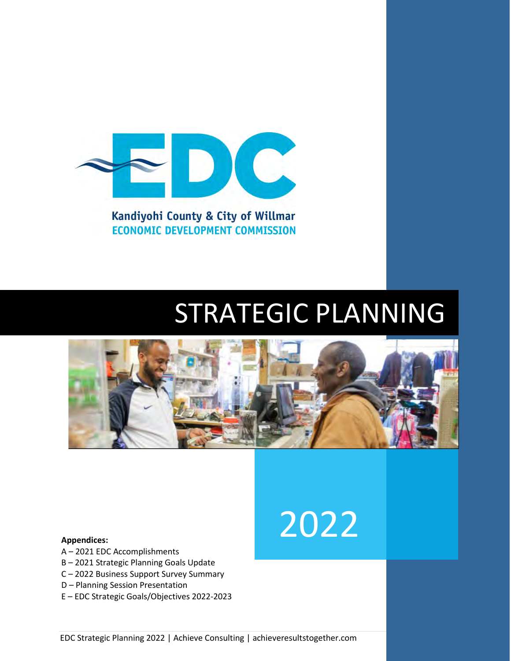

Kandiyohi County & City of Willmar **ECONOMIC DEVELOPMENT COMMISSION** 

# STRATEGIC PLANNING

2022



#### **Appendices:**

- A 2021 EDC Accomplishments
- B 2021 Strategic Planning Goals Update
- C 2022 Business Support Survey Summary
- D Planning Session Presentation
- E EDC Strategic Goals/Objectives 2022-2023

EDC Strategic Planning 2022 | Achieve Consulting | achieveresultstogether.com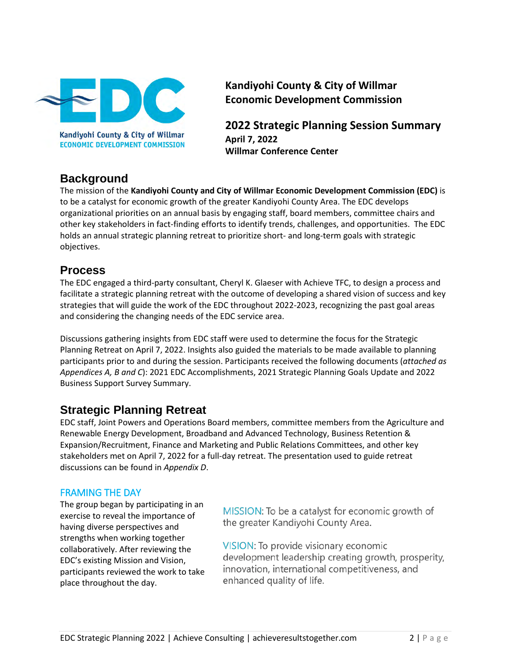

**ECONOMIC DEVELOPMENT COMMISSION** 

**Kandiyohi County & City of Willmar Economic Development Commission**

**2022 Strategic Planning Session Summary April 7, 2022 Willmar Conference Center**

# **Background**

The mission of the **Kandiyohi County and City of Willmar Economic Development Commission (EDC)** is to be a catalyst for economic growth of the greater Kandiyohi County Area. The EDC develops organizational priorities on an annual basis by engaging staff, board members, committee chairs and other key stakeholders in fact-finding efforts to identify trends, challenges, and opportunities. The EDC holds an annual strategic planning retreat to prioritize short- and long-term goals with strategic objectives.

# **Process**

The EDC engaged a third-party consultant, Cheryl K. Glaeser with Achieve TFC, to design a process and facilitate a strategic planning retreat with the outcome of developing a shared vision of success and key strategies that will guide the work of the EDC throughout 2022-2023, recognizing the past goal areas and considering the changing needs of the EDC service area.

Discussions gathering insights from EDC staff were used to determine the focus for the Strategic Planning Retreat on April 7, 2022. Insights also guided the materials to be made available to planning participants prior to and during the session. Participants received the following documents (*attached as Appendices A, B and C*): 2021 EDC Accomplishments, 2021 Strategic Planning Goals Update and 2022 Business Support Survey Summary.

# **Strategic Planning Retreat**

EDC staff, Joint Powers and Operations Board members, committee members from the Agriculture and Renewable Energy Development, Broadband and Advanced Technology, Business Retention & Expansion/Recruitment, Finance and Marketing and Public Relations Committees, and other key stakeholders met on April 7, 2022 for a full-day retreat. The presentation used to guide retreat discussions can be found in *Appendix D*.

# FRAMING THE DAY

The group began by participating in an exercise to reveal the importance of having diverse perspectives and strengths when working together collaboratively. After reviewing the EDC's existing Mission and Vision, participants reviewed the work to take place throughout the day.

MISSION: To be a catalyst for economic growth of the greater Kandiyohi County Area.

VISION: To provide visionary economic development leadership creating growth, prosperity, innovation, international competitiveness, and enhanced quality of life.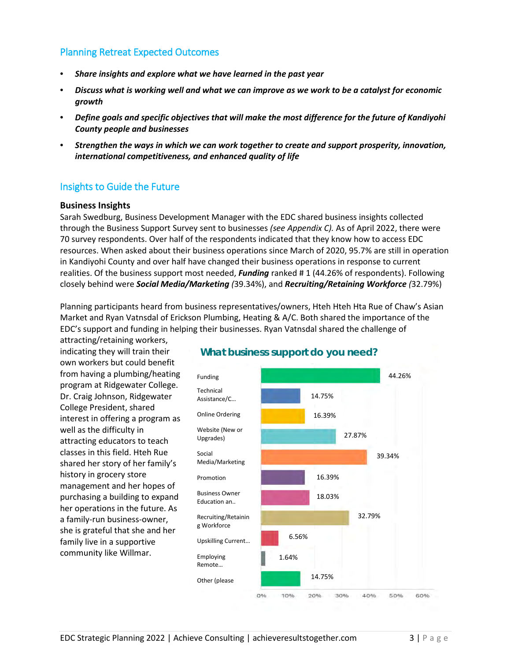# Planning Retreat Expected Outcomes

- *Share insights and explore what we have learned in the past year*
- *Discuss what is working well and what we can improve as we work to be a catalyst for economic growth*
- *Define goals and specific objectives that will make the most difference for the future of Kandiyohi County people and businesses*
- *Strengthen the ways in which we can work together to create and support prosperity, innovation, international competitiveness, and enhanced quality of life*

## Insights to Guide the Future

#### **Business Insights**

Sarah Swedburg, Business Development Manager with the EDC shared business insights collected through the Business Support Survey sent to businesses *(see Appendix C).* As of April 2022, there were 70 survey respondents. Over half of the respondents indicated that they know how to access EDC resources. When asked about their business operations since March of 2020, 95.7% are still in operation in Kandiyohi County and over half have changed their business operations in response to current realities. Of the business support most needed, *Funding* ranked # 1 (44.26% of respondents). Following closely behind were *Social Media/Marketing (*39.34%), and *Recruiting/Retaining Workforce (*32.79%)

Planning participants heard from business representatives/owners, Hteh Hteh Hta Rue of Chaw's Asian Market and Ryan Vatnsdal of Erickson Plumbing, Heating & A/C. Both shared the importance of the EDC's support and funding in helping their businesses. Ryan Vatnsdal shared the challenge of

attracting/retaining workers, indicating they will train their own workers but could benefit from having a plumbing/heating program at Ridgewater College. Dr. Craig Johnson, Ridgewater College President, shared interest in offering a program as well as the difficulty in attracting educators to teach classes in this field. Hteh Rue shared her story of her family's history in grocery store management and her hopes of purchasing a building to expand her operations in the future. As a family-run business-owner, she is grateful that she and her family live in a supportive community like Willmar.



## **What business support do you need?**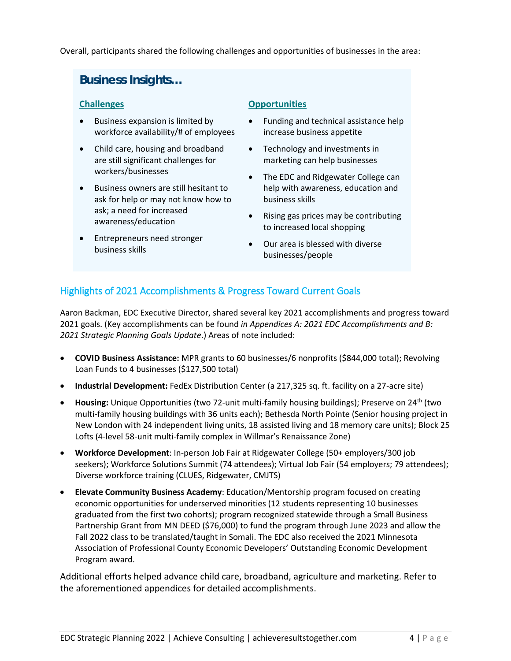Overall, participants shared the following challenges and opportunities of businesses in the area:

# **Business Insights…**

## **Challenges**

- Business expansion is limited by workforce availability/# of employees
- Child care, housing and broadband are still significant challenges for workers/businesses
- Business owners are still hesitant to ask for help or may not know how to ask; a need for increased awareness/education
- Entrepreneurs need stronger business skills

# **Opportunities**

- Funding and technical assistance help increase business appetite
- Technology and investments in marketing can help businesses
- The EDC and Ridgewater College can help with awareness, education and business skills
- Rising gas prices may be contributing to increased local shopping
- Our area is blessed with diverse businesses/people

# Highlights of 2021 Accomplishments & Progress Toward Current Goals

Aaron Backman, EDC Executive Director, shared several key 2021 accomplishments and progress toward 2021 goals. (Key accomplishments can be found *in Appendices A: 2021 EDC Accomplishments and B: 2021 Strategic Planning Goals Update*.) Areas of note included:

- **COVID Business Assistance:** MPR grants to 60 businesses/6 nonprofits (\$844,000 total); Revolving Loan Funds to 4 businesses (\$127,500 total)
- **Industrial Development:** FedEx Distribution Center (a 217,325 sq. ft. facility on a 27-acre site)
- **Housing:** Unique Opportunities (two 72-unit multi-family housing buildings); Preserve on 24th (two multi-family housing buildings with 36 units each); Bethesda North Pointe (Senior housing project in New London with 24 independent living units, 18 assisted living and 18 memory care units); Block 25 Lofts (4-level 58-unit multi-family complex in Willmar's Renaissance Zone)
- **Workforce Development**: In-person Job Fair at Ridgewater College (50+ employers/300 job seekers); Workforce Solutions Summit (74 attendees); Virtual Job Fair (54 employers; 79 attendees); Diverse workforce training (CLUES, Ridgewater, CMJTS)
- **Elevate Community Business Academy**: Education/Mentorship program focused on creating economic opportunities for underserved minorities (12 students representing 10 businesses graduated from the first two cohorts); program recognized statewide through a Small Business Partnership Grant from MN DEED (\$76,000) to fund the program through June 2023 and allow the Fall 2022 class to be translated/taught in Somali. The EDC also received the 2021 Minnesota Association of Professional County Economic Developers' Outstanding Economic Development Program award.

Additional efforts helped advance child care, broadband, agriculture and marketing. Refer to the aforementioned appendices for detailed accomplishments.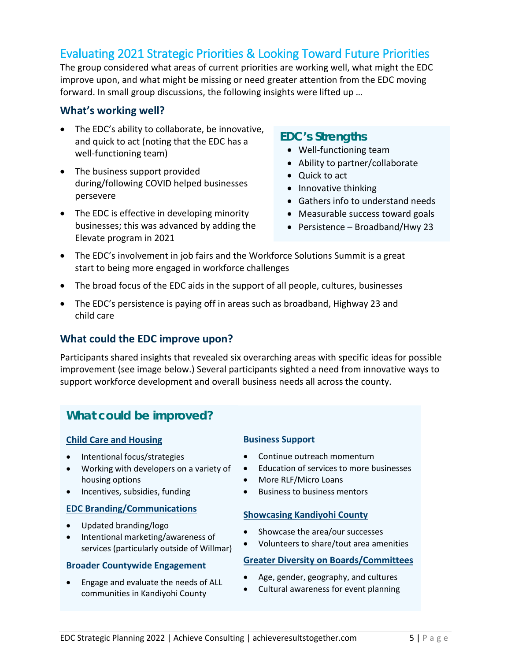# Evaluating 2021 Strategic Priorities & Looking Toward Future Priorities

The group considered what areas of current priorities are working well, what might the EDC improve upon, and what might be missing or need greater attention from the EDC moving forward. In small group discussions, the following insights were lifted up …

## **What's working well?**

- The EDC's ability to collaborate, be innovative, and quick to act (noting that the EDC has a well-functioning team)
- The business support provided during/following COVID helped businesses persevere
- The EDC is effective in developing minority businesses; this was advanced by adding the Elevate program in 2021

# **EDC's Strengths**

- Well-functioning team
- Ability to partner/collaborate
- Quick to act
- Innovative thinking
- Gathers info to understand needs
- Measurable success toward goals
- Persistence Broadband/Hwy 23
- The EDC's involvement in job fairs and the Workforce Solutions Summit is a great start to being more engaged in workforce challenges
- The broad focus of the EDC aids in the support of all people, cultures, businesses
- The EDC's persistence is paying off in areas such as broadband, Highway 23 and child care

# **What could the EDC improve upon?**

Participants shared insights that revealed six overarching areas with specific ideas for possible improvement (see image below.) Several participants sighted a need from innovative ways to support workforce development and overall business needs all across the county.

# **What could be improved?**

#### **Child Care and Housing**

- Intentional focus/strategies
- Working with developers on a variety of housing options
- Incentives, subsidies, funding

#### **EDC Branding/Communications**

- Updated branding/logo
- Intentional marketing/awareness of services (particularly outside of Willmar)

#### **Broader Countywide Engagement**

• Engage and evaluate the needs of ALL communities in Kandiyohi County

#### **Business Support**

- Continue outreach momentum
- Education of services to more businesses
- More RLF/Micro Loans
- Business to business mentors

## **Showcasing Kandiyohi County**

- Showcase the area/our successes
- Volunteers to share/tout area amenities

#### **Greater Diversity on Boards/Committees**

- Age, gender, geography, and cultures
- Cultural awareness for event planning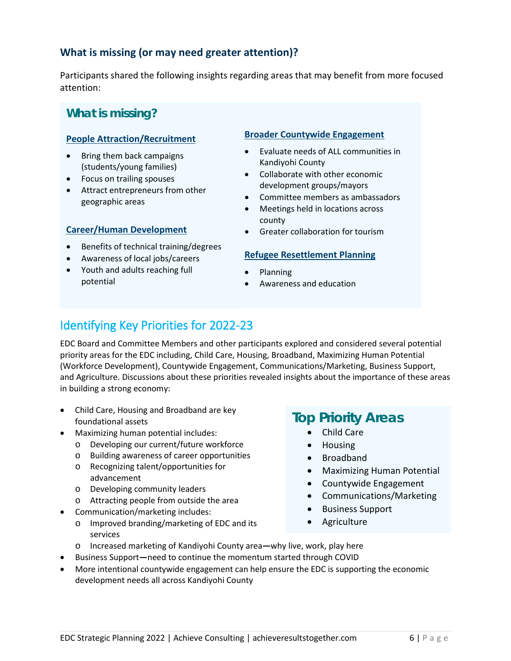# **What is missing (or may need greater attention)?**

Participants shared the following insights regarding areas that may benefit from more focused attention:

# **What is missing?**

## **People Attraction/Recruitment**

- Bring them back campaigns (students/young families)
- Focus on trailing spouses
- Attract entrepreneurs from other geographic areas

## **Career/Human Development**

- Benefits of technical training/degrees
- Awareness of local jobs/careers
- Youth and adults reaching full potential

### **Broader Countywide Engagement**

- Evaluate needs of ALL communities in Kandiyohi County
- Collaborate with other economic development groups/mayors
- Committee members as ambassadors
- Meetings held in locations across county
- Greater collaboration for tourism

## **Refugee Resettlement Planning**

- Planning
- Awareness and education

# Identifying Key Priorities for 2022-23

EDC Board and Committee Members and other participants explored and considered several potential priority areas for the EDC including, Child Care, Housing, Broadband, Maximizing Human Potential (Workforce Development), Countywide Engagement, Communications/Marketing, Business Support, and Agriculture. Discussions about these priorities revealed insights about the importance of these areas in building a strong economy:

- Child Care, Housing and Broadband are key foundational assets
- Maximizing human potential includes:
	- o Developing our current/future workforce
	- o Building awareness of career opportunities
	- o Recognizing talent/opportunities for advancement
	- o Developing community leaders
	- o Attracting people from outside the area
- Communication/marketing includes:
	- o Improved branding/marketing of EDC and its services

# **Top Priority Areas**

- Child Care
- Housing
- Broadband
- Maximizing Human Potential
- Countywide Engagement
- Communications/Marketing
- Business Support
- Agriculture
- o Increased marketing of Kandiyohi County area**—**why live, work, play here
- Business Support**—**need to continue the momentum started through COVID
- More intentional countywide engagement can help ensure the EDC is supporting the economic development needs all across Kandiyohi County